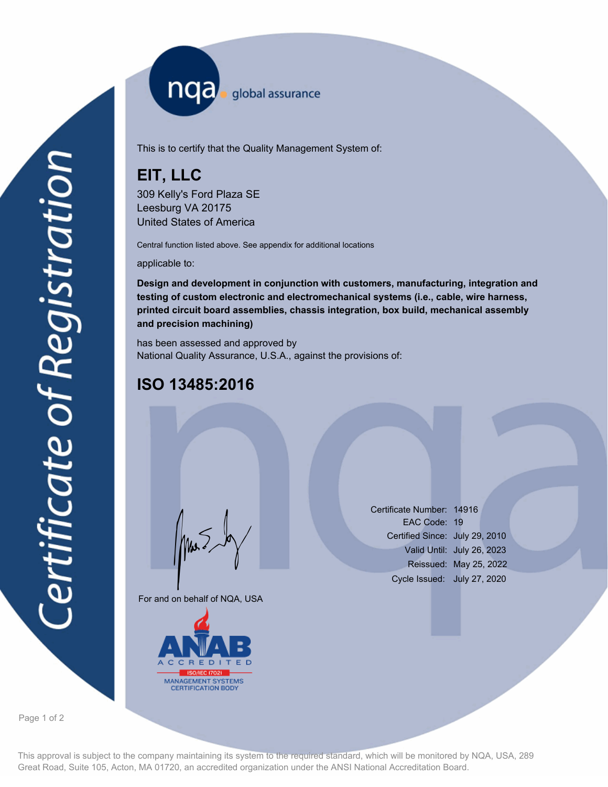nqa <sub>global assurance</sub>

This is to certify that the Quality Management System of:

# **EIT, LLC**

309 Kelly's Ford Plaza SE Leesburg VA 20175 United States of America

Central function listed above. See appendix for additional locations

applicable to:

**Design and development in conjunction with customers, manufacturing, integration and testing of custom electronic and electromechanical systems (i.e., cable, wire harness, printed circuit board assemblies, chassis integration, box build, mechanical assembly and precision machining)**

has been assessed and approved by National Quality Assurance, U.S.A., against the provisions of:

## **ISO 13485:2016**

For and on behalf of NQA, USA

Mus



Certificate Number: 14916 EAC Code: 19 Certified Since: July 29, 2010 Valid Until: July 26, 2023 Reissued: May 25, 2022 Cycle Issued: July 27, 2020

Page 1 of 2

This approval is subject to the company maintaining its system to the required standard, which will be monitored by NQA, USA, 289 Great Road, Suite 105, Acton, MA 01720, an accredited organization under the ANSI National Accreditation Board.